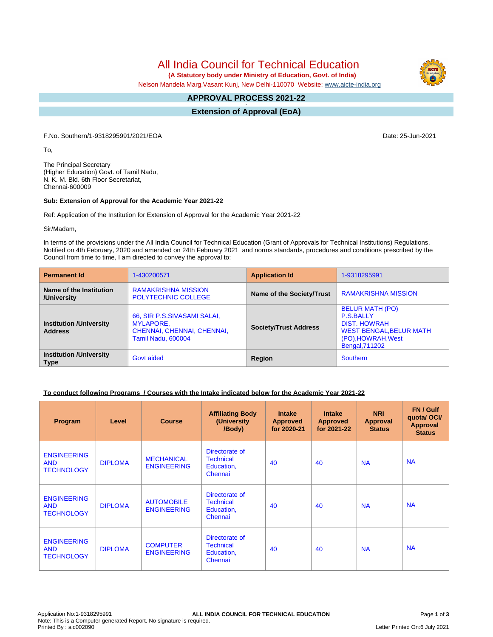# All India Council for Technical Education

 **(A Statutory body under Ministry of Education, Govt. of India)**

Nelson Mandela Marg,Vasant Kunj, New Delhi-110070 Website: [www.aicte-india.org](http://www.aicte-india.org)

#### **APPROVAL PROCESS 2021-22 -**

**Extension of Approval (EoA)**

F.No. Southern/1-9318295991/2021/EOA Date: 25-Jun-2021

To,

The Principal Secretary (Higher Education) Govt. of Tamil Nadu, N. K. M. Bld. 6th Floor Secretariat, Chennai-600009

#### **Sub: Extension of Approval for the Academic Year 2021-22**

Ref: Application of the Institution for Extension of Approval for the Academic Year 2021-22

Sir/Madam,

In terms of the provisions under the All India Council for Technical Education (Grant of Approvals for Technical Institutions) Regulations, Notified on 4th February, 2020 and amended on 24th February 2021 and norms standards, procedures and conditions prescribed by the Council from time to time, I am directed to convey the approval to:

| <b>Permanent Id</b>                              | 1-430200571                                                                                         | <b>Application Id</b>        | 1-9318295991                                                                                                                                |  |
|--------------------------------------------------|-----------------------------------------------------------------------------------------------------|------------------------------|---------------------------------------------------------------------------------------------------------------------------------------------|--|
| Name of the Institution<br>/University           | <b>RAMAKRISHNA MISSION</b><br><b>POLYTECHNIC COLLEGE</b>                                            | Name of the Society/Trust    | <b>RAMAKRISHNA MISSION</b>                                                                                                                  |  |
| <b>Institution /University</b><br><b>Address</b> | 66, SIR P.S.SIVASAMI SALAI,<br>MYLAPORE,<br>CHENNAI, CHENNAI, CHENNAI,<br><b>Tamil Nadu, 600004</b> | <b>Society/Trust Address</b> | <b>BELUR MATH (PO)</b><br><b>P.S.BALLY</b><br><b>DIST. HOWRAH</b><br><b>WEST BENGAL, BELUR MATH</b><br>(PO), HOWRAH, West<br>Bengal, 711202 |  |
| <b>Institution /University</b><br><b>Type</b>    | Govt aided                                                                                          | Region                       | Southern                                                                                                                                    |  |

### **To conduct following Programs / Courses with the Intake indicated below for the Academic Year 2021-22**

| Program                                               | Level          | <b>Course</b>                           | <b>Affiliating Body</b><br>(University<br>/Body)            | <b>Intake</b><br><b>Approved</b><br>for 2020-21 | <b>Intake</b><br><b>Approved</b><br>for 2021-22 | <b>NRI</b><br><b>Approval</b><br><b>Status</b> | FN / Gulf<br>quota/OCI/<br><b>Approval</b><br><b>Status</b> |
|-------------------------------------------------------|----------------|-----------------------------------------|-------------------------------------------------------------|-------------------------------------------------|-------------------------------------------------|------------------------------------------------|-------------------------------------------------------------|
| <b>ENGINEERING</b><br><b>AND</b><br><b>TECHNOLOGY</b> | <b>DIPLOMA</b> | <b>MECHANICAL</b><br><b>ENGINEERING</b> | Directorate of<br><b>Technical</b><br>Education,<br>Chennai | 40                                              | 40                                              | <b>NA</b>                                      | <b>NA</b>                                                   |
| <b>ENGINEERING</b><br><b>AND</b><br><b>TECHNOLOGY</b> | <b>DIPLOMA</b> | <b>AUTOMOBILE</b><br><b>ENGINEERING</b> | Directorate of<br><b>Technical</b><br>Education,<br>Chennai | 40                                              | 40                                              | <b>NA</b>                                      | <b>NA</b>                                                   |
| <b>ENGINEERING</b><br><b>AND</b><br><b>TECHNOLOGY</b> | <b>DIPLOMA</b> | <b>COMPUTER</b><br><b>ENGINEERING</b>   | Directorate of<br><b>Technical</b><br>Education,<br>Chennai | 40                                              | 40                                              | <b>NA</b>                                      | <b>NA</b>                                                   |

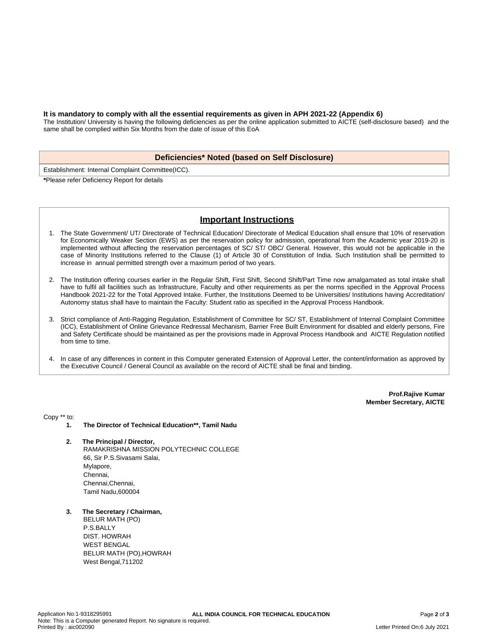#### **It is mandatory to comply with all the essential requirements as given in APH 2021-22 (Appendix 6)**

The Institution/ University is having the following deficiencies as per the online application submitted to AICTE (self-disclosure based) and the same shall be complied within Six Months from the date of issue of this EoA

#### **Deficiencies\* Noted (based on Self Disclosure)**

Establishment: Internal Complaint Committee(ICC).

**\***Please refer Deficiency Report for details

## **Important Instructions**

- 1. The State Government/ UT/ Directorate of Technical Education/ Directorate of Medical Education shall ensure that 10% of reservation for Economically Weaker Section (EWS) as per the reservation policy for admission, operational from the Academic year 2019-20 is implemented without affecting the reservation percentages of SC/ ST/ OBC/ General. However, this would not be applicable in the case of Minority Institutions referred to the Clause (1) of Article 30 of Constitution of India. Such Institution shall be permitted to increase in annual permitted strength over a maximum period of two years.
- 2. The Institution offering courses earlier in the Regular Shift, First Shift, Second Shift/Part Time now amalgamated as total intake shall have to fulfil all facilities such as Infrastructure, Faculty and other requirements as per the norms specified in the Approval Process Handbook 2021-22 for the Total Approved Intake. Further, the Institutions Deemed to be Universities/ Institutions having Accreditation/ Autonomy status shall have to maintain the Faculty: Student ratio as specified in the Approval Process Handbook.
- 3. Strict compliance of Anti-Ragging Regulation, Establishment of Committee for SC/ ST, Establishment of Internal Complaint Committee (ICC), Establishment of Online Grievance Redressal Mechanism, Barrier Free Built Environment for disabled and elderly persons, Fire and Safety Certificate should be maintained as per the provisions made in Approval Process Handbook and AICTE Regulation notified from time to time.
- 4. In case of any differences in content in this Computer generated Extension of Approval Letter, the content/information as approved by the Executive Council / General Council as available on the record of AICTE shall be final and binding.

**Prof.Rajive Kumar Member Secretary, AICTE**

Copy \*\* to:

- **1. The Director of Technical Education\*\*, Tamil Nadu**
- **2. The Principal / Director,** RAMAKRISHNA MISSION POLYTECHNIC COLLEGE 66, Sir P.S.Sivasami Salai, Mylapore, Chennai, Chennai,Chennai, Tamil Nadu,600004
- **3. The Secretary / Chairman,** BELUR MATH (PO) P.S.BALLY DIST. HOWRAH WEST BENGAL BELUR MATH (PO),HOWRAH West Bengal,711202